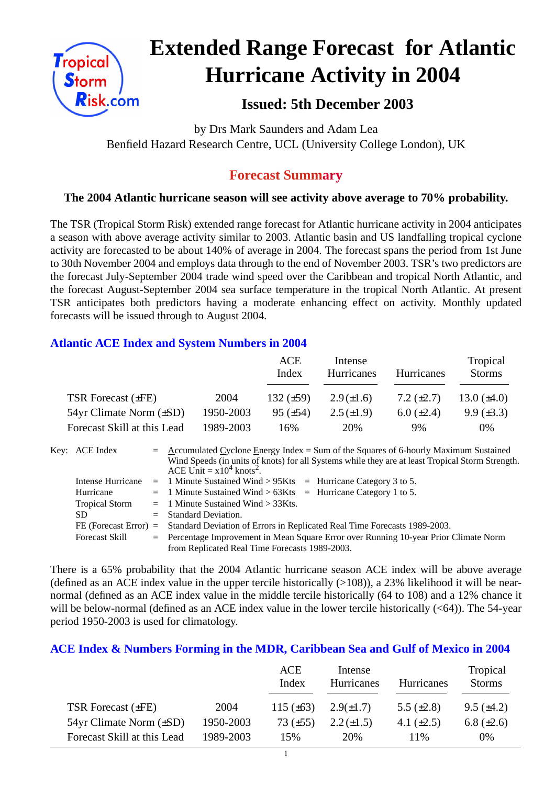

# **Extended Range Forecast for Atlantic Hurricane Activity in 2004**

# **Issued: 5th December 2003**

by Drs Mark Saunders and Adam Lea Benfield Hazard Research Centre, UCL (University College London), UK

## **Forecast Summary**

## **The 2004 Atlantic hurricane season will see activity above average to 70% probability.**

The TSR (Tropical Storm Risk) extended range forecast for Atlantic hurricane activity in 2004 anticipates a season with above average activity similar to 2003. Atlantic basin and US landfalling tropical cyclone activity are forecasted to be about 140% of average in 2004. The forecast spans the period from 1st June to 30th November 2004 and employs data through to the end of November 2003. TSR's two predictors are the forecast July-September 2004 trade wind speed over the Caribbean and tropical North Atlantic, and the forecast August-September 2004 sea surface temperature in the tropical North Atlantic. At present TSR anticipates both predictors having a moderate enhancing effect on activity. Monthly updated forecasts will be issued through to August 2004.

### **Atlantic ACE Index and System Numbers in 2004**

|                                |           | ACE<br>Index    | Intense<br>Hurricanes | <b>Hurricanes</b> | Tropical<br><b>Storms</b> |
|--------------------------------|-----------|-----------------|-----------------------|-------------------|---------------------------|
| TSR Forecast $(\pm FE)$        | 2004      | 132 $(\pm 59)$  | $2.9(\pm 1.6)$        | 7.2 $(\pm 2.7)$   | 13.0 $(\pm 4.0)$          |
| $54yr$ Climate Norm $(\pm SD)$ | 1950-2003 | $95 \ (\pm 54)$ | $2.5(\pm 1.9)$        | $6.0 \ (\pm 2.4)$ | $9.9 \ (\pm 3.3)$         |
| Forecast Skill at this Lead    | 1989-2003 | 16%             | 20%                   | 9%                | $0\%$                     |

|  | Key: ACE Index        |  | $=$ Accumulated Cyclone Energy Index = Sum of the Squares of 6-hourly Maximum Sustained          |  |  |  |
|--|-----------------------|--|--------------------------------------------------------------------------------------------------|--|--|--|
|  |                       |  | Wind Speeds (in units of knots) for all Systems while they are at least Tropical Storm Strength. |  |  |  |
|  |                       |  | ACE Unit = $x10^4$ knots <sup>2</sup> .                                                          |  |  |  |
|  | Intense Hurricane     |  | $=$ 1 Minute Sustained Wind > 95Kts $=$ Hurricane Category 3 to 5.                               |  |  |  |
|  | Hurricane             |  | $=$ 1 Minute Sustained Wind > 63Kts $=$ Hurricane Category 1 to 5.                               |  |  |  |
|  | <b>Tropical Storm</b> |  | $=$ 1 Minute Sustained Wind $>$ 33Kts.                                                           |  |  |  |
|  | SD.                   |  | $=$ Standard Deviation.                                                                          |  |  |  |
|  |                       |  | FE (Forecast Error) = Standard Deviation of Errors in Replicated Real Time Forecasts 1989-2003.  |  |  |  |
|  | <b>Forecast Skill</b> |  | = Percentage Improvement in Mean Square Error over Running 10-year Prior Climate Norm            |  |  |  |
|  |                       |  | from Replicated Real Time Forecasts 1989-2003.                                                   |  |  |  |

There is a 65% probability that the 2004 Atlantic hurricane season ACE index will be above average (defined as an ACE index value in the upper tercile historically  $(>108)$ ), a 23% likelihood it will be nearnormal (defined as an ACE index value in the middle tercile historically (64 to 108) and a 12% chance it will be below-normal (defined as an ACE index value in the lower tercile historically (<64)). The 54-year period 1950-2003 is used for climatology.

#### **ACE Index & Numbers Forming in the MDR, Caribbean Sea and Gulf of Mexico in 2004**

|                                |           | ACE<br>Index   | Intense<br>Hurricanes | Hurricanes      | Tropical<br><b>Storms</b> |
|--------------------------------|-----------|----------------|-----------------------|-----------------|---------------------------|
| TSR Forecast $(\pm FE)$        | 2004      | 115 $(\pm 63)$ | $2.9(\pm 1.7)$        | 5.5 $(\pm 2.8)$ | $9.5 \ (\pm 4.2)$         |
| $54yr$ Climate Norm $(\pm SD)$ | 1950-2003 | 73 $(\pm 55)$  | $2.2 (\pm 1.5)$       | 4.1 $(\pm 2.5)$ | 6.8 $(\pm 2.6)$           |
| Forecast Skill at this Lead    | 1989-2003 | 15%            | 20%                   | 11\%            | $0\%$                     |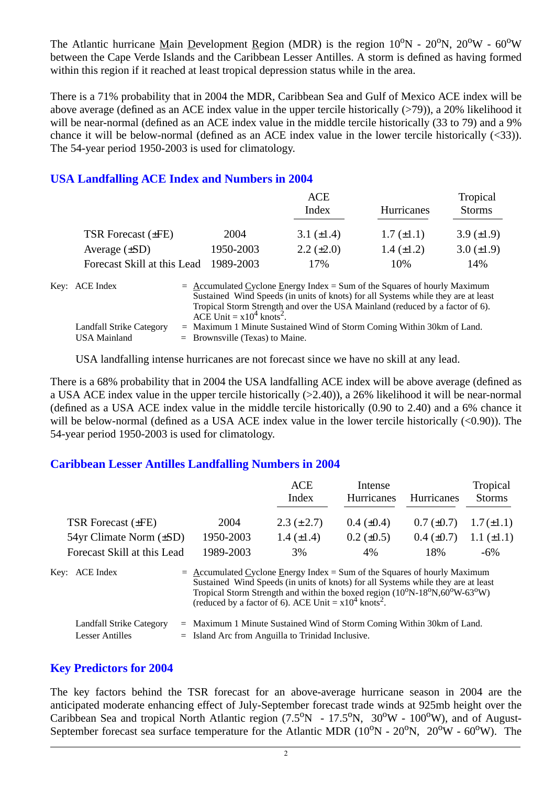The Atlantic hurricane Main Development Region (MDR) is the region  $10^{\circ}N - 20^{\circ}N$ ,  $20^{\circ}W - 60^{\circ}W$ between the Cape Verde Islands and the Caribbean Lesser Antilles. A storm is defined as having formed within this region if it reached at least tropical depression status while in the area.

There is a 71% probability that in 2004 the MDR, Caribbean Sea and Gulf of Mexico ACE index will be above average (defined as an ACE index value in the upper tercile historically  $(>79)$ ), a 20% likelihood it will be near-normal (defined as an ACE index value in the middle tercile historically (33 to 79) and a 9% chance it will be below-normal (defined as an ACE index value in the lower tercile historically (<33)). The 54-year period 1950-2003 is used for climatology.

#### **USA Landfalling ACE Index and Numbers in 2004**

|                             |           | <b>ACE</b><br>Index                                                                                                                                                                                                                               | Hurricanes        | Tropical<br><b>Storms</b> |
|-----------------------------|-----------|---------------------------------------------------------------------------------------------------------------------------------------------------------------------------------------------------------------------------------------------------|-------------------|---------------------------|
| TSR Forecast $(\pm FE)$     | 2004      | 3.1 $(\pm 1.4)$                                                                                                                                                                                                                                   | $1.7 (\pm 1.1)$   | 3.9 $(\pm 1.9)$           |
| Average $(\pm SD)$          | 1950-2003 | $2.2 \ (\pm 2.0)$                                                                                                                                                                                                                                 | $1.4 \ (\pm 1.2)$ | 3.0 $(\pm 1.9)$           |
| Forecast Skill at this Lead | 1989-2003 | 17%                                                                                                                                                                                                                                               | 10%               | 14%                       |
| Key: ACE Index              |           | $=$ Accumulated Cyclone Energy Index = Sum of the Squares of hourly Maximum<br>Sustained Wind Speeds (in units of knots) for all Systems while they are at least<br>Tropical Storm Strength and over the USA Mainland (reduced by a factor of 6). |                   |                           |

ACE Unit  $= x10^4$  knots<sup>2</sup>. Landfall Strike Category = Maximum 1 Minute Sustained Wind of Storm Coming Within 30km of Land. USA Mainland  $=$  Brownsville (Texas) to Maine.

USA landfalling intense hurricanes are not forecast since we have no skill at any lead.

There is a 68% probability that in 2004 the USA landfalling ACE index will be above average (defined as a USA ACE index value in the upper tercile historically (>2.40)), a 26% likelihood it will be near-normal (defined as a USA ACE index value in the middle tercile historically (0.90 to 2.40) and a 6% chance it will be below-normal (defined as a USA ACE index value in the lower tercile historically  $(<0.90$ )). The 54-year period 1950-2003 is used for climatology.

#### **Caribbean Lesser Antilles Landfalling Numbers in 2004**

|                                                           |                                                                                                                                                                                                                                                                                                                                                                          | <b>ACE</b>      | Intense           |                 | Tropical        |
|-----------------------------------------------------------|--------------------------------------------------------------------------------------------------------------------------------------------------------------------------------------------------------------------------------------------------------------------------------------------------------------------------------------------------------------------------|-----------------|-------------------|-----------------|-----------------|
|                                                           |                                                                                                                                                                                                                                                                                                                                                                          | Index           | <b>Hurricanes</b> | Hurricanes      | <b>Storms</b>   |
| TSR Forecast $(\pm FE)$                                   | 2004                                                                                                                                                                                                                                                                                                                                                                     | $2.3 (\pm 2.7)$ | $0.4~(\pm 0.4)$   | $0.7 (\pm 0.7)$ | $1.7(\pm 1.1)$  |
| $54yr$ Climate Norm $(\pm SD)$                            | 1950-2003                                                                                                                                                                                                                                                                                                                                                                | 1.4 $(\pm 1.4)$ | $0.2 \ (\pm 0.5)$ | $0.4~(\pm 0.7)$ | $1.1 (\pm 1.1)$ |
| Forecast Skill at this Lead                               | 1989-2003                                                                                                                                                                                                                                                                                                                                                                | 3%              | 4%                | 18%             | $-6\%$          |
| Key: ACE Index                                            | $=$ Accumulated Cyclone Energy Index = Sum of the Squares of hourly Maximum<br>Sustained Wind Speeds (in units of knots) for all Systems while they are at least<br>Tropical Storm Strength and within the boxed region (10 <sup>o</sup> N-18 <sup>o</sup> N,60 <sup>o</sup> W-63 <sup>o</sup> W)<br>(reduced by a factor of 6). ACE Unit = $x10^4$ knots <sup>2</sup> . |                 |                   |                 |                 |
| <b>Landfall Strike Category</b><br><b>Lesser Antilles</b> | $=$ Maximum 1 Minute Sustained Wind of Storm Coming Within 30km of Land.<br>$=$ Island Arc from Anguilla to Trinidad Inclusive.                                                                                                                                                                                                                                          |                 |                   |                 |                 |

#### **Key Predictors for 2004**

The key factors behind the TSR forecast for an above-average hurricane season in 2004 are the anticipated moderate enhancing effect of July-September forecast trade winds at 925mb height over the Caribbean Sea and tropical North Atlantic region  $(7.5^{\circ}N - 17.5^{\circ}N, 30^{\circ}W - 100^{\circ}W)$ , and of August-September forecast sea surface temperature for the Atlantic MDR  $(10^{\circ}N - 20^{\circ}N, 20^{\circ}W - 60^{\circ}W)$ . The